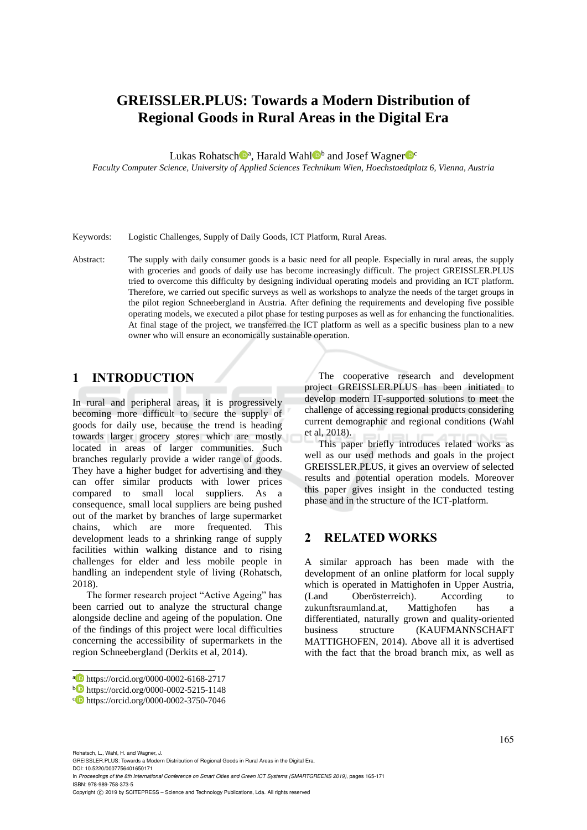# **GREISSLER.PLUS: Towards a Modern Distribution of Regional Goods in Rural Areas in the Digital Era**

Lukas Rohatsch<sup>oa</sup>, Harald Wahl<sup>ob</sup> and Josef Wagner<sup>oc</sup>

*Faculty Computer Science, University of Applied Sciences Technikum Wien, Hoechstaedtplatz 6, Vienna, Austria*

Keywords: Logistic Challenges, Supply of Daily Goods, ICT Platform, Rural Areas.

Abstract: The supply with daily consumer goods is a basic need for all people. Especially in rural areas, the supply with groceries and goods of daily use has become increasingly difficult. The project GREISSLER.PLUS tried to overcome this difficulty by designing individual operating models and providing an ICT platform. Therefore, we carried out specific surveys as well as workshops to analyze the needs of the target groups in the pilot region Schneebergland in Austria. After defining the requirements and developing five possible operating models, we executed a pilot phase for testing purposes as well as for enhancing the functionalities. At final stage of the project, we transferred the ICT platform as well as a specific business plan to a new owner who will ensure an economically sustainable operation.

## **1 INTRODUCTION**

In rural and peripheral areas, it is progressively becoming more difficult to secure the supply of goods for daily use, because the trend is heading towards larger grocery stores which are mostly located in areas of larger communities. Such branches regularly provide a wider range of goods. They have a higher budget for advertising and they can offer similar products with lower prices compared to small local suppliers. As a consequence, small local suppliers are being pushed out of the market by branches of large supermarket chains, which are more frequented. This development leads to a shrinking range of supply facilities within walking distance and to rising challenges for elder and less mobile people in handling an independent style of living (Rohatsch, 2018).

The former research project "Active Ageing" has been carried out to analyze the structural change alongside decline and ageing of the population. One of the findings of this project were local difficulties concerning the accessibility of supermarkets in the region Schneebergland (Derkits et al, 2014).

Rohatsch, L., Wahl, H. and Wagner, J.

 $\overline{a}$ 

GREISSLER.PLUS: Towards a Modern Distribution of Regional Goods in Rural Areas in the Digital Era.

DOI: 10.5220/0007756401650171

In *Proceedings of the 8th International Conference on Smart Cities and Green ICT Systems (SMARTGREENS 2019)*, pages 165-171 ISBN: 978-989-758-373-5

The cooperative research and development project GREISSLER.PLUS has been initiated to develop modern IT-supported solutions to meet the challenge of accessing regional products considering current demographic and regional conditions (Wahl et al, 2018).

This paper briefly introduces related works as well as our used methods and goals in the project GREISSLER.PLUS, it gives an overview of selected results and potential operation models. Moreover this paper gives insight in the conducted testing phase and in the structure of the ICT-platform.

### **2 RELATED WORKS**

A similar approach has been made with the development of an online platform for local supply which is operated in Mattighofen in Upper Austria, (Land Oberösterreich). According to zukunftsraumland.at, Mattighofen has a differentiated, naturally grown and quality-oriented business structure (KAUFMANNSCHAFT MATTIGHOFEN, 2014). Above all it is advertised with the fact that the broad branch mix, as well as

165

a https://orcid.org/0000-0002-6168-2717

<sup>b</sup> https://orcid.org/0000-0002-5215-1148

c https://orcid.org/0000-0002-3750-7046

Copyright C 2019 by SCITEPRESS - Science and Technology Publications, Lda. All rights reserved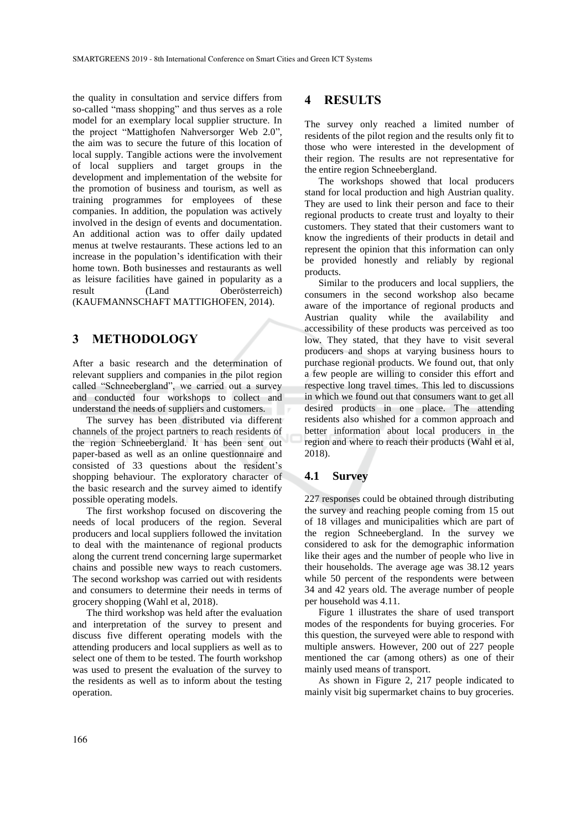the quality in consultation and service differs from so-called "mass shopping" and thus serves as a role model for an exemplary local supplier structure. In the project "Mattighofen Nahversorger Web 2.0", the aim was to secure the future of this location of local supply. Tangible actions were the involvement of local suppliers and target groups in the development and implementation of the website for the promotion of business and tourism, as well as training programmes for employees of these companies. In addition, the population was actively involved in the design of events and documentation. An additional action was to offer daily updated menus at twelve restaurants. These actions led to an increase in the population's identification with their home town. Both businesses and restaurants as well as leisure facilities have gained in popularity as a result (Land Oberösterreich) (KAUFMANNSCHAFT MATTIGHOFEN, 2014).

### **3 METHODOLOGY**

After a basic research and the determination of relevant suppliers and companies in the pilot region called "Schneebergland", we carried out a survey and conducted four workshops to collect and understand the needs of suppliers and customers.

The survey has been distributed via different channels of the project partners to reach residents of the region Schneebergland. It has been sent out paper-based as well as an online questionnaire and consisted of 33 questions about the resident's shopping behaviour. The exploratory character of the basic research and the survey aimed to identify possible operating models.

The first workshop focused on discovering the needs of local producers of the region. Several producers and local suppliers followed the invitation to deal with the maintenance of regional products along the current trend concerning large supermarket chains and possible new ways to reach customers. The second workshop was carried out with residents and consumers to determine their needs in terms of grocery shopping (Wahl et al, 2018).

The third workshop was held after the evaluation and interpretation of the survey to present and discuss five different operating models with the attending producers and local suppliers as well as to select one of them to be tested. The fourth workshop was used to present the evaluation of the survey to the residents as well as to inform about the testing operation.

### **4 RESULTS**

The survey only reached a limited number of residents of the pilot region and the results only fit to those who were interested in the development of their region. The results are not representative for the entire region Schneebergland.

The workshops showed that local producers stand for local production and high Austrian quality. They are used to link their person and face to their regional products to create trust and loyalty to their customers. They stated that their customers want to know the ingredients of their products in detail and represent the opinion that this information can only be provided honestly and reliably by regional products.

Similar to the producers and local suppliers, the consumers in the second workshop also became aware of the importance of regional products and Austrian quality while the availability and accessibility of these products was perceived as too low. They stated, that they have to visit several producers and shops at varying business hours to purchase regional products. We found out, that only a few people are willing to consider this effort and respective long travel times. This led to discussions in which we found out that consumers want to get all desired products in one place. The attending residents also whished for a common approach and better information about local producers in the region and where to reach their products (Wahl et al, 2018).

#### **4.1 Survey**

227 responses could be obtained through distributing the survey and reaching people coming from 15 out of 18 villages and municipalities which are part of the region Schneebergland. In the survey we considered to ask for the demographic information like their ages and the number of people who live in their households. The average age was 38.12 years while 50 percent of the respondents were between 34 and 42 years old. The average number of people per household was 4.11.

Figure 1 illustrates the share of used transport modes of the respondents for buying groceries. For this question, the surveyed were able to respond with multiple answers. However, 200 out of 227 people mentioned the car (among others) as one of their mainly used means of transport.

As shown in Figure 2, 217 people indicated to mainly visit big supermarket chains to buy groceries.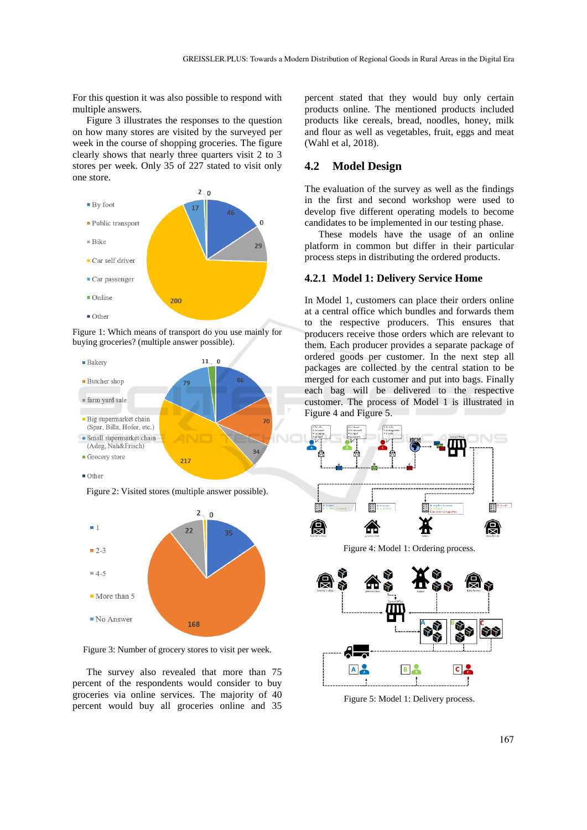For this question it was also possible to respond with multiple answers.

Figure 3 illustrates the responses to the question on how many stores are visited by the surveyed per week in the course of shopping groceries. The figure clearly shows that nearly three quarters visit 2 to 3 stores per week. Only 35 of 227 stated to visit only one store.



Figure 1: Which means of transport do you use mainly for buying groceries? (multiple answer possible).





Figure 3: Number of grocery stores to visit per week.

The survey also revealed that more than 75 percent of the respondents would consider to buy groceries via online services. The majority of 40 percent would buy all groceries online and 35

percent stated that they would buy only certain products online. The mentioned products included products like cereals, bread, noodles, honey, milk and flour as well as vegetables, fruit, eggs and meat (Wahl et al, 2018).

### **4.2 Model Design**

The evaluation of the survey as well as the findings in the first and second workshop were used to develop five different operating models to become candidates to be implemented in our testing phase.

These models have the usage of an online platform in common but differ in their particular process steps in distributing the ordered products.

#### **4.2.1 Model 1: Delivery Service Home**

In Model 1, customers can place their orders online at a central office which bundles and forwards them to the respective producers. This ensures that producers receive those orders which are relevant to them. Each producer provides a separate package of ordered goods per customer. In the next step all packages are collected by the central station to be merged for each customer and put into bags. Finally each bag will be delivered to the respective customer. The process of Model 1 is illustrated in Figure 4 and Figure 5.



Figure 5: Model 1: Delivery process.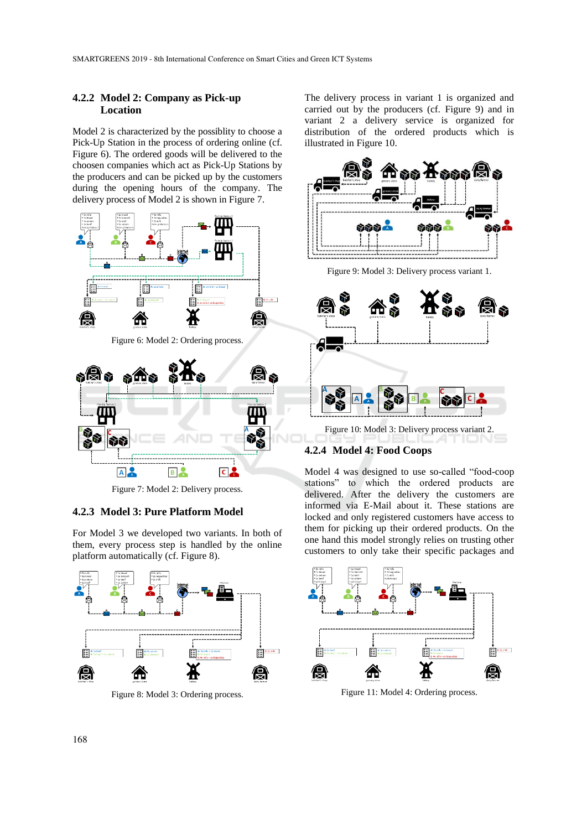### **4.2.2 Model 2: Company as Pick-up Location**

Model 2 is characterized by the possiblity to choose a Pick-Up Station in the process of ordering online (cf. Figure 6). The ordered goods will be delivered to the choosen companies which act as Pick-Up Stations by the producers and can be picked up by the customers during the opening hours of the company. The delivery process of Model 2 is shown in Figure 7.



**B** Figure 7: Model 2: Delivery process.

 $c$   $\alpha$ 

#### **4.2.3 Model 3: Pure Platform Model**

 $A$ 

For Model 3 we developed two variants. In both of them, every process step is handled by the online platform automatically (cf. Figure 8).



Figure 8: Model 3: Ordering process.

The delivery process in variant 1 is organized and carried out by the producers (cf. Figure 9) and in variant 2 a delivery service is organized for distribution of the ordered products which is illustrated in Figure 10.



Figure 9: Model 3: Delivery process variant 1.





Model 4 was designed to use so-called "food-coop stations" to which the ordered products are delivered. After the delivery the customers are informed via E-Mail about it. These stations are locked and only registered customers have access to them for picking up their ordered products. On the one hand this model strongly relies on trusting other customers to only take their specific packages and



Figure 11: Model 4: Ordering process.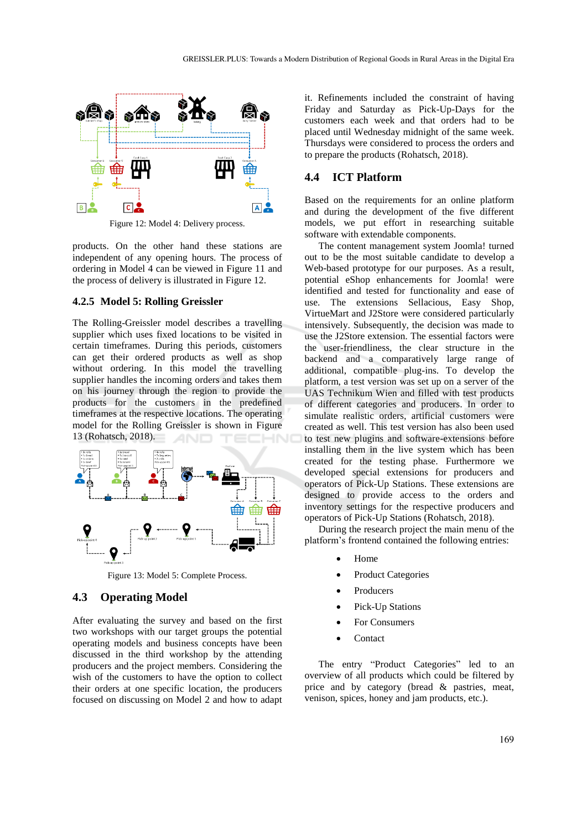

Figure 12: Model 4: Delivery process.

products. On the other hand these stations are independent of any opening hours. The process of ordering in Model 4 can be viewed in Figure 11 and the process of delivery is illustrated in Figure 12.

#### **4.2.5 Model 5: Rolling Greissler**

The Rolling-Greissler model describes a travelling supplier which uses fixed locations to be visited in certain timeframes. During this periods, customers can get their ordered products as well as shop without ordering. In this model the travelling supplier handles the incoming orders and takes them on his journey through the region to provide the products for the customers in the predefined timeframes at the respective locations. The operating model for the Rolling Greissler is shown in Figure 13 (Rohatsch, 2018).



Figure 13: Model 5: Complete Process.

### **4.3 Operating Model**

After evaluating the survey and based on the first two workshops with our target groups the potential operating models and business concepts have been discussed in the third workshop by the attending producers and the project members. Considering the wish of the customers to have the option to collect their orders at one specific location, the producers focused on discussing on Model 2 and how to adapt

it. Refinements included the constraint of having Friday and Saturday as Pick-Up-Days for the customers each week and that orders had to be placed until Wednesday midnight of the same week. Thursdays were considered to process the orders and to prepare the products (Rohatsch, 2018).

### **4.4 ICT Platform**

Based on the requirements for an online platform and during the development of the five different models, we put effort in researching suitable software with extendable components.

The content management system Joomla! turned out to be the most suitable candidate to develop a Web-based prototype for our purposes. As a result, potential eShop enhancements for Joomla! were identified and tested for functionality and ease of use. The extensions Sellacious, Easy Shop, VirtueMart and J2Store were considered particularly intensively. Subsequently, the decision was made to use the J2Store extension. The essential factors were the user-friendliness, the clear structure in the backend and a comparatively large range of additional, compatible plug-ins. To develop the platform, a test version was set up on a server of the UAS Technikum Wien and filled with test products of different categories and producers. In order to simulate realistic orders, artificial customers were created as well. This test version has also been used to test new plugins and software-extensions before installing them in the live system which has been created for the testing phase. Furthermore we developed special extensions for producers and operators of Pick-Up Stations. These extensions are designed to provide access to the orders and inventory settings for the respective producers and operators of Pick-Up Stations (Rohatsch, 2018).

During the research project the main menu of the platform's frontend contained the following entries:

- Home
- Product Categories
- Producers
- Pick-Up Stations
- For Consumers
- Contact

The entry "Product Categories" led to an overview of all products which could be filtered by price and by category (bread & pastries, meat, venison, spices, honey and jam products, etc.).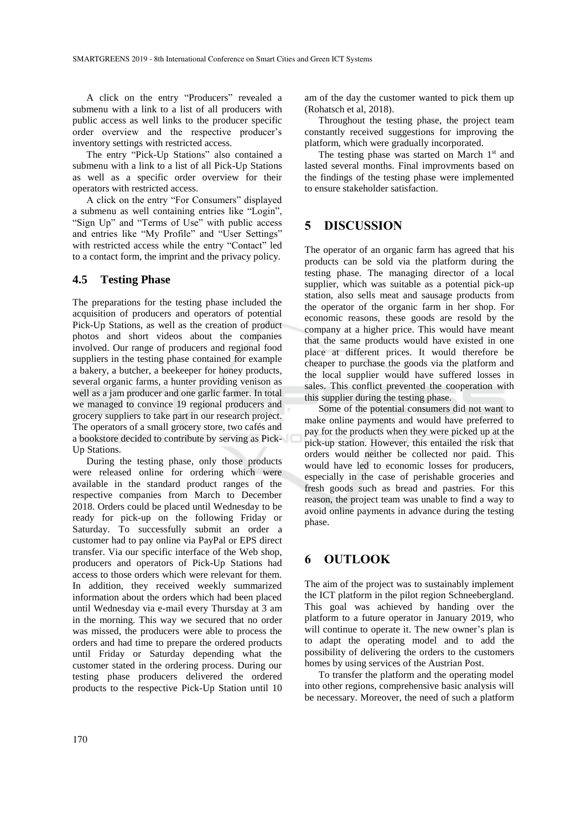A click on the entry "Producers" revealed a submenu with a link to a list of all producers with public access as well links to the producer specific order overview and the respective producer's inventory settings with restricted access.

The entry "Pick-Up Stations" also contained a submenu with a link to a list of all Pick-Up Stations as well as a specific order overview for their operators with restricted access.

A click on the entry "For Consumers" displayed a submenu as well containing entries like "Login", "Sign Up" and "Terms of Use" with public access and entries like "My Profile" and "User Settings" with restricted access while the entry "Contact" led to a contact form, the imprint and the privacy policy.

### **4.5 Testing Phase**

The preparations for the testing phase included the acquisition of producers and operators of potential Pick-Up Stations, as well as the creation of product photos and short videos about the companies involved. Our range of producers and regional food suppliers in the testing phase contained for example a bakery, a butcher, a beekeeper for honey products, several organic farms, a hunter providing venison as well as a jam producer and one garlic farmer. In total we managed to convince 19 regional producers and grocery suppliers to take part in our research project. The operators of a small grocery store, two cafés and a bookstore decided to contribute by serving as Pick-Up Stations.

During the testing phase, only those products were released online for ordering which were available in the standard product ranges of the respective companies from March to December 2018. Orders could be placed until Wednesday to be ready for pick-up on the following Friday or Saturday. To successfully submit an order a customer had to pay online via PayPal or EPS direct transfer. Via our specific interface of the Web shop, producers and operators of Pick-Up Stations had access to those orders which were relevant for them. In addition, they received weekly summarized information about the orders which had been placed until Wednesday via e-mail every Thursday at 3 am in the morning. This way we secured that no order was missed, the producers were able to process the orders and had time to prepare the ordered products until Friday or Saturday depending what the customer stated in the ordering process. During our testing phase producers delivered the ordered products to the respective Pick-Up Station until 10

am of the day the customer wanted to pick them up (Rohatsch et al, 2018).

Throughout the testing phase, the project team constantly received suggestions for improving the platform, which were gradually incorporated.

The testing phase was started on March 1<sup>st</sup> and lasted several months. Final improvments based on the findings of the testing phase were implemented to ensure stakeholder satisfaction.

## **5 DISCUSSION**

The operator of an organic farm has agreed that his products can be sold via the platform during the testing phase. The managing director of a local supplier, which was suitable as a potential pick-up station, also sells meat and sausage products from the operator of the organic farm in her shop. For economic reasons, these goods are resold by the company at a higher price. This would have meant that the same products would have existed in one place at different prices. It would therefore be cheaper to purchase the goods via the platform and the local supplier would have suffered losses in sales. This conflict prevented the cooperation with this supplier during the testing phase.

Some of the potential consumers did not want to make online payments and would have preferred to pay for the products when they were picked up at the pick-up station. However, this entailed the risk that orders would neither be collected nor paid. This would have led to economic losses for producers, especially in the case of perishable groceries and fresh goods such as bread and pastries. For this reason, the project team was unable to find a way to avoid online payments in advance during the testing phase.

## **6 OUTLOOK**

The aim of the project was to sustainably implement the ICT platform in the pilot region Schneebergland. This goal was achieved by handing over the platform to a future operator in January 2019, who will continue to operate it. The new owner's plan is to adapt the operating model and to add the possibility of delivering the orders to the customers homes by using services of the Austrian Post.

To transfer the platform and the operating model into other regions, comprehensive basic analysis will be necessary. Moreover, the need of such a platform